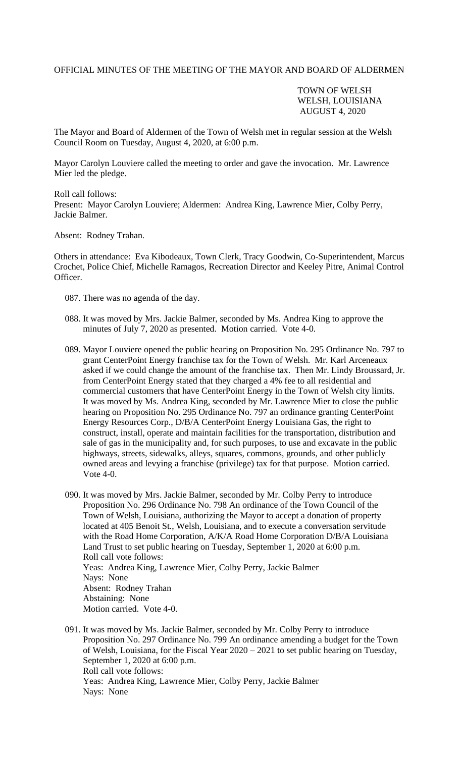## OFFICIAL MINUTES OF THE MEETING OF THE MAYOR AND BOARD OF ALDERMEN

## TOWN OF WELSH WELSH, LOUISIANA AUGUST 4, 2020

The Mayor and Board of Aldermen of the Town of Welsh met in regular session at the Welsh Council Room on Tuesday, August 4, 2020, at 6:00 p.m.

Mayor Carolyn Louviere called the meeting to order and gave the invocation. Mr. Lawrence Mier led the pledge.

Roll call follows: Present: Mayor Carolyn Louviere; Aldermen: Andrea King, Lawrence Mier, Colby Perry, Jackie Balmer.

Absent: Rodney Trahan.

Others in attendance: Eva Kibodeaux, Town Clerk, Tracy Goodwin, Co-Superintendent, Marcus Crochet, Police Chief, Michelle Ramagos, Recreation Director and Keeley Pitre, Animal Control Officer.

- 087. There was no agenda of the day.
- 088. It was moved by Mrs. Jackie Balmer, seconded by Ms. Andrea King to approve the minutes of July 7, 2020 as presented. Motion carried. Vote 4-0.
- 089. Mayor Louviere opened the public hearing on Proposition No. 295 Ordinance No. 797 to grant CenterPoint Energy franchise tax for the Town of Welsh. Mr. Karl Arceneaux asked if we could change the amount of the franchise tax. Then Mr. Lindy Broussard, Jr. from CenterPoint Energy stated that they charged a 4% fee to all residential and commercial customers that have CenterPoint Energy in the Town of Welsh city limits. It was moved by Ms. Andrea King, seconded by Mr. Lawrence Mier to close the public hearing on Proposition No. 295 Ordinance No. 797 an ordinance granting CenterPoint Energy Resources Corp., D/B/A CenterPoint Energy Louisiana Gas, the right to construct, install, operate and maintain facilities for the transportation, distribution and sale of gas in the municipality and, for such purposes, to use and excavate in the public highways, streets, sidewalks, alleys, squares, commons, grounds, and other publicly owned areas and levying a franchise (privilege) tax for that purpose. Motion carried. Vote 4-0.
- 090. It was moved by Mrs. Jackie Balmer, seconded by Mr. Colby Perry to introduce Proposition No. 296 Ordinance No. 798 An ordinance of the Town Council of the Town of Welsh, Louisiana, authorizing the Mayor to accept a donation of property located at 405 Benoit St., Welsh, Louisiana, and to execute a conversation servitude with the Road Home Corporation, A/K/A Road Home Corporation D/B/A Louisiana Land Trust to set public hearing on Tuesday, September 1, 2020 at 6:00 p.m. Roll call vote follows: Yeas: Andrea King, Lawrence Mier, Colby Perry, Jackie Balmer Nays: None Absent: Rodney Trahan Abstaining: None Motion carried. Vote 4-0.
- 091. It was moved by Ms. Jackie Balmer, seconded by Mr. Colby Perry to introduce Proposition No. 297 Ordinance No. 799 An ordinance amending a budget for the Town of Welsh, Louisiana, for the Fiscal Year 2020 – 2021 to set public hearing on Tuesday, September 1, 2020 at 6:00 p.m. Roll call vote follows: Yeas: Andrea King, Lawrence Mier, Colby Perry, Jackie Balmer Nays: None